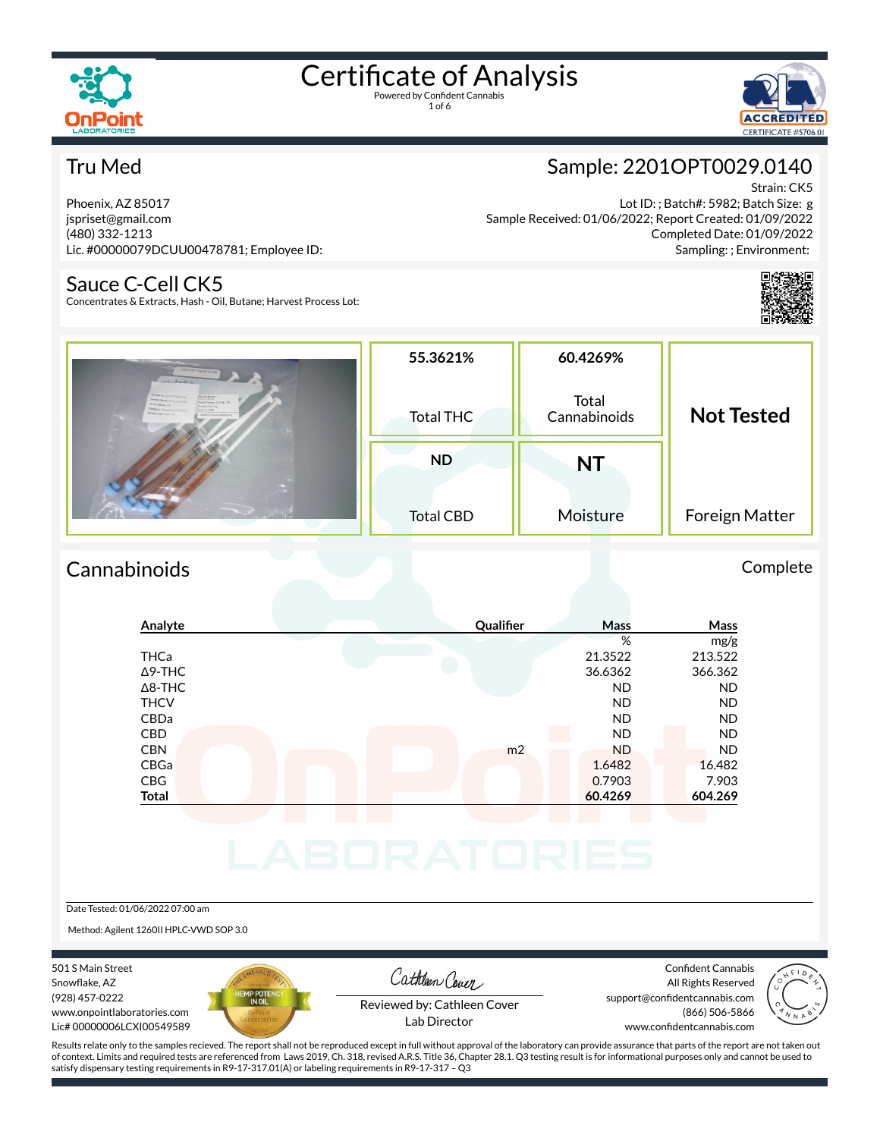

1 of 6



#### Tru Med

Phoenix, AZ 85017 jspriset@gmail.com (480) 332-1213 Lic. #00000079DCUU00478781; Employee ID:

#### Sauce C-Cell CK5

Concentrates & Extracts, Hash - Oil, Butane; Harvest Process Lot:

### Sample: 2201OPT0029.0140

Strain: CK5 Lot ID: ; Batch#: 5982; Batch Size: g Sample Received: 01/06/2022; Report Created: 01/09/2022 Completed Date: 01/09/2022 Sampling: ; Environment:



| 22010PT0029-0140<br>$-1-laA \otimes$<br><b>Sample Dr. 227/2/10020-0147</b><br>Strain Name:<br>Non Cores<br>Sample Name: Source Controller<br>Date/Temp: 12/28, 20<br><b>Rosin Name of</b><br>Grand for K<br>Company: Concrete also & Canada.<br><b>Arrell # 5562</b><br>Sample Type: Hart . (1)<br>000000740CEG0047K743 | 55.3621%<br>Total THC         | 60.4269%<br>Total<br>Cannabinoids | <b>Not Tested</b> |  |
|-------------------------------------------------------------------------------------------------------------------------------------------------------------------------------------------------------------------------------------------------------------------------------------------------------------------------|-------------------------------|-----------------------------------|-------------------|--|
|                                                                                                                                                                                                                                                                                                                         | <b>ND</b><br><b>Total CBD</b> | NT<br>Moisture                    | Foreign Matter    |  |

#### Cannabinoids Complete

### **Analyte Qualier Mass Mass** % mg/g THCa 21.3522 213.522 Δ9-THC 36.6362 366.362 Δ8-THC ND ND THCV ND ND CBDa ND ND CBD A RESIDENCE OF A RESIDENCE OF A RESIDENCE OF A RESIDENCE OF A RESIDENCE OF A RESIDENCE OF A RESIDENCE OF A CBN m2 ND ND CBGa 1.6482 16.482 CBG 0.7903 7.903 **Total 60.4269 604.269**

Date Tested: 01/06/2022 07:00 am

Method: Agilent 1260II HPLC-VWD SOP 3.0

501 S Main Street Snowflake, AZ (928) 457-0222 www.onpointlaboratories.com Lic# 00000006LCXI00549589



Cathleen Cover

Confident Cannabis All Rights Reserved support@confidentcannabis.com (866) 506-5866



Reviewed by: Cathleen Cover Lab Director

www.confidentcannabis.com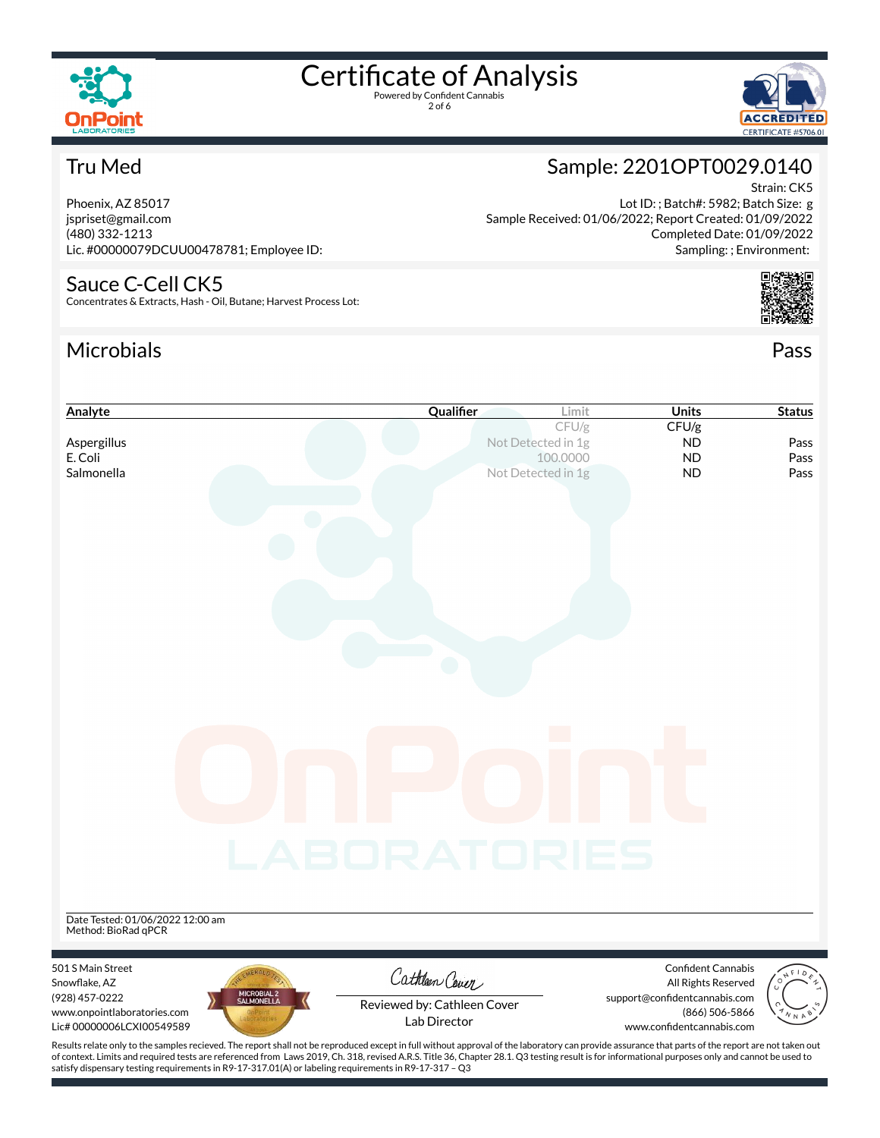

2 of 6



Sample: 2201OPT0029.0140

Sample Received: 01/06/2022; Report Created: 01/09/2022

Lot ID: ; Batch#: 5982; Batch Size: g

#### Tru Med

Phoenix, AZ 85017 jspriset@gmail.com (480) 332-1213 Lic. #00000079DCUU00478781; Employee ID:

#### Sauce C-Cell CK5

Concentrates & Extracts, Hash - Oil, Butane; Harvest Process Lot:

### Microbials Pass



Strain: CK5



| CFU/g<br>CFU/g<br>Aspergillus<br>Not Detected in 1g<br><b>ND</b><br>Pass<br>E. Coli<br>100.0000<br><b>ND</b><br>Pass<br>Salmonella<br>Not Detected in 1g<br><b>ND</b><br>Pass<br>a a<br>LABORATORIES<br><b>Confident Cannabis</b><br>Cathleen Cover<br>All Rights Reserved<br>MICROBIAL 2<br>SALMONELLA<br>(928) 457-0222<br>support@confidentcannabis.com<br>Reviewed by: Cathleen Cover<br>(866) 506-5866<br>www.onpointlaboratories.com<br>Lab Director<br>Lic# 00000006LCXI00549589<br>www.confidentcannabis.com<br>Results relate only to the samples recieved. The report shall not be reproduced except in full without approval of the laboratory can provide assurance that parts of the report are not taken out | Analyte                          | Qualifier | Limit | <b>Units</b> | <b>Status</b> |
|----------------------------------------------------------------------------------------------------------------------------------------------------------------------------------------------------------------------------------------------------------------------------------------------------------------------------------------------------------------------------------------------------------------------------------------------------------------------------------------------------------------------------------------------------------------------------------------------------------------------------------------------------------------------------------------------------------------------------|----------------------------------|-----------|-------|--------------|---------------|
|                                                                                                                                                                                                                                                                                                                                                                                                                                                                                                                                                                                                                                                                                                                            |                                  |           |       |              |               |
|                                                                                                                                                                                                                                                                                                                                                                                                                                                                                                                                                                                                                                                                                                                            |                                  |           |       |              |               |
|                                                                                                                                                                                                                                                                                                                                                                                                                                                                                                                                                                                                                                                                                                                            |                                  |           |       |              |               |
|                                                                                                                                                                                                                                                                                                                                                                                                                                                                                                                                                                                                                                                                                                                            |                                  |           |       |              |               |
|                                                                                                                                                                                                                                                                                                                                                                                                                                                                                                                                                                                                                                                                                                                            |                                  |           |       |              |               |
|                                                                                                                                                                                                                                                                                                                                                                                                                                                                                                                                                                                                                                                                                                                            |                                  |           |       |              |               |
|                                                                                                                                                                                                                                                                                                                                                                                                                                                                                                                                                                                                                                                                                                                            |                                  |           |       |              |               |
|                                                                                                                                                                                                                                                                                                                                                                                                                                                                                                                                                                                                                                                                                                                            |                                  |           |       |              |               |
|                                                                                                                                                                                                                                                                                                                                                                                                                                                                                                                                                                                                                                                                                                                            |                                  |           |       |              |               |
|                                                                                                                                                                                                                                                                                                                                                                                                                                                                                                                                                                                                                                                                                                                            |                                  |           |       |              |               |
|                                                                                                                                                                                                                                                                                                                                                                                                                                                                                                                                                                                                                                                                                                                            |                                  |           |       |              |               |
|                                                                                                                                                                                                                                                                                                                                                                                                                                                                                                                                                                                                                                                                                                                            |                                  |           |       |              |               |
|                                                                                                                                                                                                                                                                                                                                                                                                                                                                                                                                                                                                                                                                                                                            |                                  |           |       |              |               |
|                                                                                                                                                                                                                                                                                                                                                                                                                                                                                                                                                                                                                                                                                                                            |                                  |           |       |              |               |
|                                                                                                                                                                                                                                                                                                                                                                                                                                                                                                                                                                                                                                                                                                                            |                                  |           |       |              |               |
|                                                                                                                                                                                                                                                                                                                                                                                                                                                                                                                                                                                                                                                                                                                            |                                  |           |       |              |               |
|                                                                                                                                                                                                                                                                                                                                                                                                                                                                                                                                                                                                                                                                                                                            |                                  |           |       |              |               |
|                                                                                                                                                                                                                                                                                                                                                                                                                                                                                                                                                                                                                                                                                                                            |                                  |           |       |              |               |
|                                                                                                                                                                                                                                                                                                                                                                                                                                                                                                                                                                                                                                                                                                                            |                                  |           |       |              |               |
|                                                                                                                                                                                                                                                                                                                                                                                                                                                                                                                                                                                                                                                                                                                            |                                  |           |       |              |               |
|                                                                                                                                                                                                                                                                                                                                                                                                                                                                                                                                                                                                                                                                                                                            |                                  |           |       |              |               |
|                                                                                                                                                                                                                                                                                                                                                                                                                                                                                                                                                                                                                                                                                                                            |                                  |           |       |              |               |
|                                                                                                                                                                                                                                                                                                                                                                                                                                                                                                                                                                                                                                                                                                                            |                                  |           |       |              |               |
|                                                                                                                                                                                                                                                                                                                                                                                                                                                                                                                                                                                                                                                                                                                            |                                  |           |       |              |               |
|                                                                                                                                                                                                                                                                                                                                                                                                                                                                                                                                                                                                                                                                                                                            |                                  |           |       |              |               |
|                                                                                                                                                                                                                                                                                                                                                                                                                                                                                                                                                                                                                                                                                                                            |                                  |           |       |              |               |
|                                                                                                                                                                                                                                                                                                                                                                                                                                                                                                                                                                                                                                                                                                                            |                                  |           |       |              |               |
|                                                                                                                                                                                                                                                                                                                                                                                                                                                                                                                                                                                                                                                                                                                            |                                  |           |       |              |               |
|                                                                                                                                                                                                                                                                                                                                                                                                                                                                                                                                                                                                                                                                                                                            | Date Tested: 01/06/2022 12:00 am |           |       |              |               |
|                                                                                                                                                                                                                                                                                                                                                                                                                                                                                                                                                                                                                                                                                                                            | Method: BioRad qPCR              |           |       |              |               |
|                                                                                                                                                                                                                                                                                                                                                                                                                                                                                                                                                                                                                                                                                                                            |                                  |           |       |              |               |
|                                                                                                                                                                                                                                                                                                                                                                                                                                                                                                                                                                                                                                                                                                                            | 501 S Main Street                |           |       |              |               |
|                                                                                                                                                                                                                                                                                                                                                                                                                                                                                                                                                                                                                                                                                                                            | Snowflake, AZ                    |           |       |              |               |
|                                                                                                                                                                                                                                                                                                                                                                                                                                                                                                                                                                                                                                                                                                                            |                                  |           |       |              |               |
|                                                                                                                                                                                                                                                                                                                                                                                                                                                                                                                                                                                                                                                                                                                            |                                  |           |       |              |               |
|                                                                                                                                                                                                                                                                                                                                                                                                                                                                                                                                                                                                                                                                                                                            |                                  |           |       |              |               |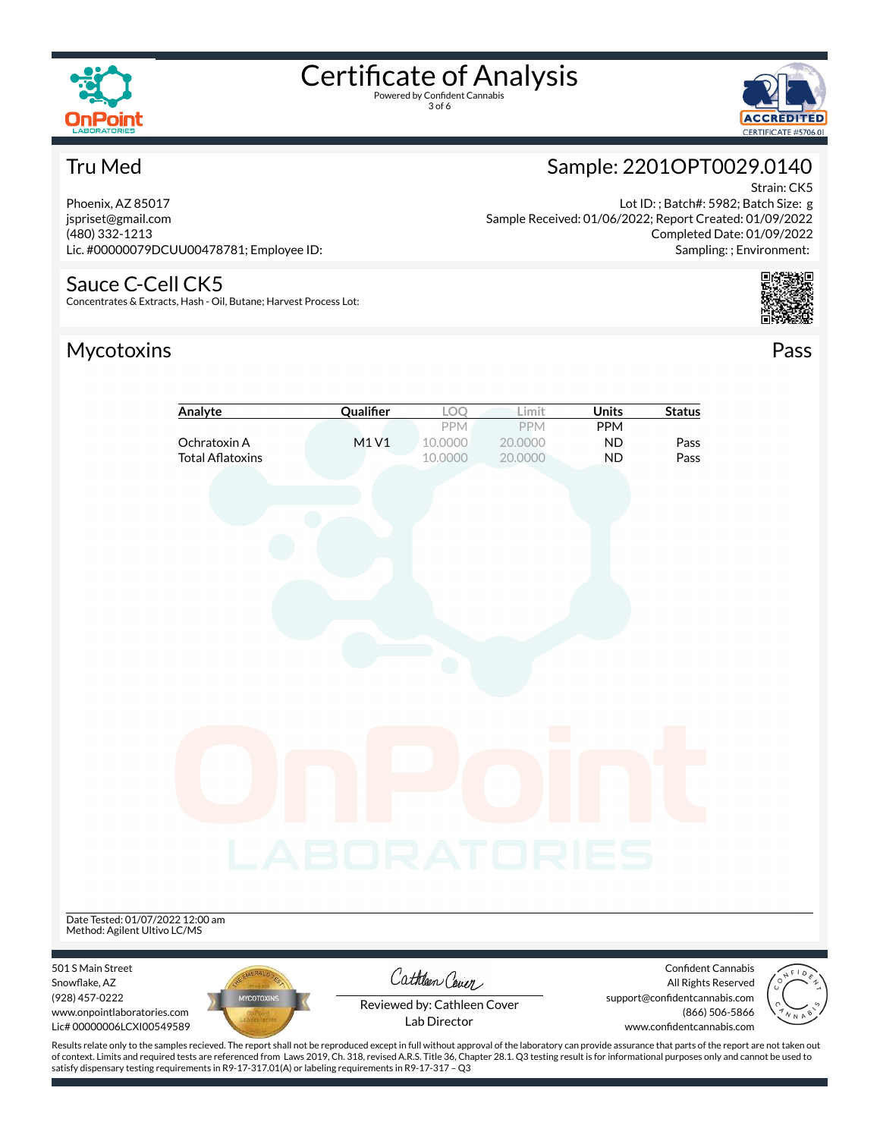

3 of 6



#### Tru Med

Phoenix, AZ 85017 jspriset@gmail.com (480) 332-1213 Lic. #00000079DCUU00478781; Employee ID:

#### Sauce C-Cell CK5

Concentrates & Extracts, Hash - Oil, Butane; Harvest Process Lot:

### Mycotoxins Pass



Lot ID: ; Batch#: 5982; Batch Size: g Sample Received: 01/06/2022; Report Created: 01/09/2022 Completed Date: 01/09/2022 Sampling: ; Environment:



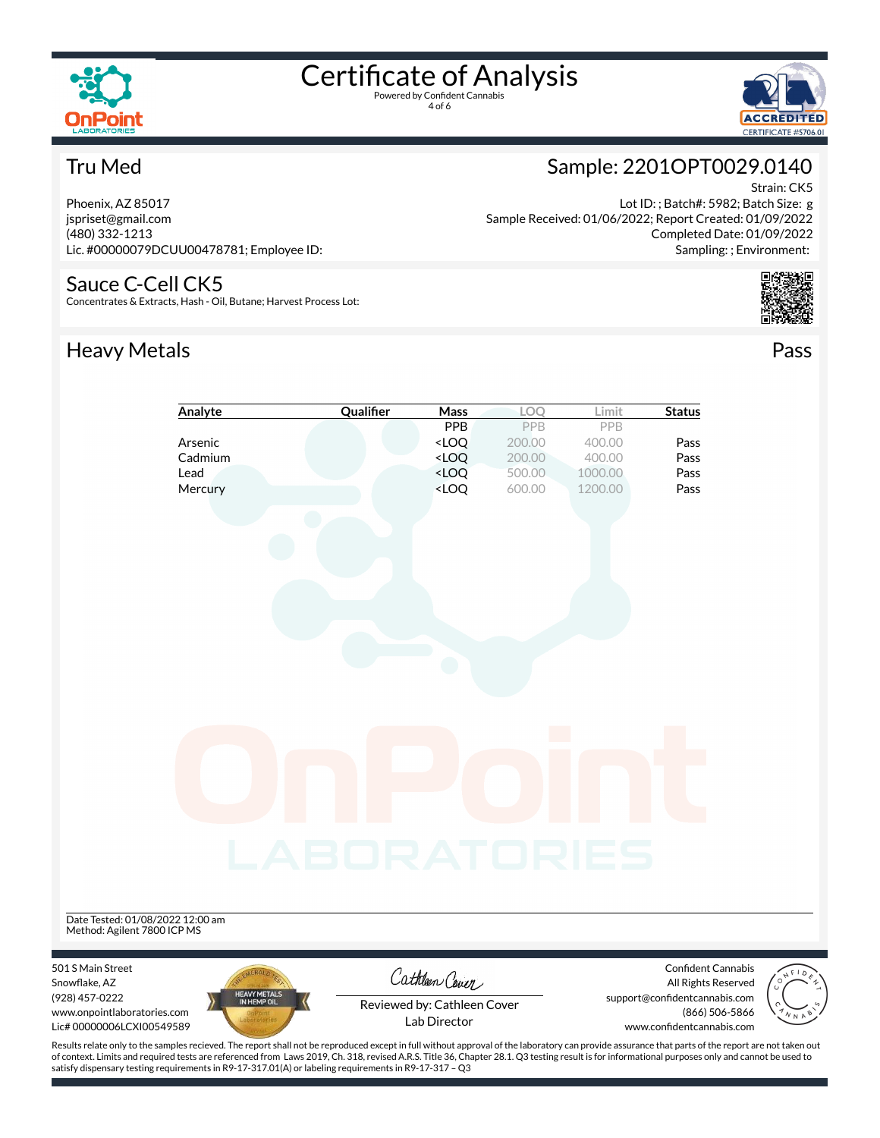

4 of 6



Strain: CK5

#### Tru Med

Phoenix, AZ 85017 jspriset@gmail.com (480) 332-1213 Lic. #00000079DCUU00478781; Employee ID:

#### Sauce C-Cell CK5

Concentrates & Extracts, Hash - Oil, Butane; Harvest Process Lot:

#### Heavy Metals **Pass**

#### Lot ID: ; Batch#: 5982; Batch Size: g Sample Received: 01/06/2022; Report Created: 01/09/2022

Sample: 2201OPT0029.0140

Completed Date: 01/09/2022

Sampling: ; Environment:





satisfy dispensary testing requirements in R9-17-317.01(A) or labeling requirements in R9-17-317 – Q3

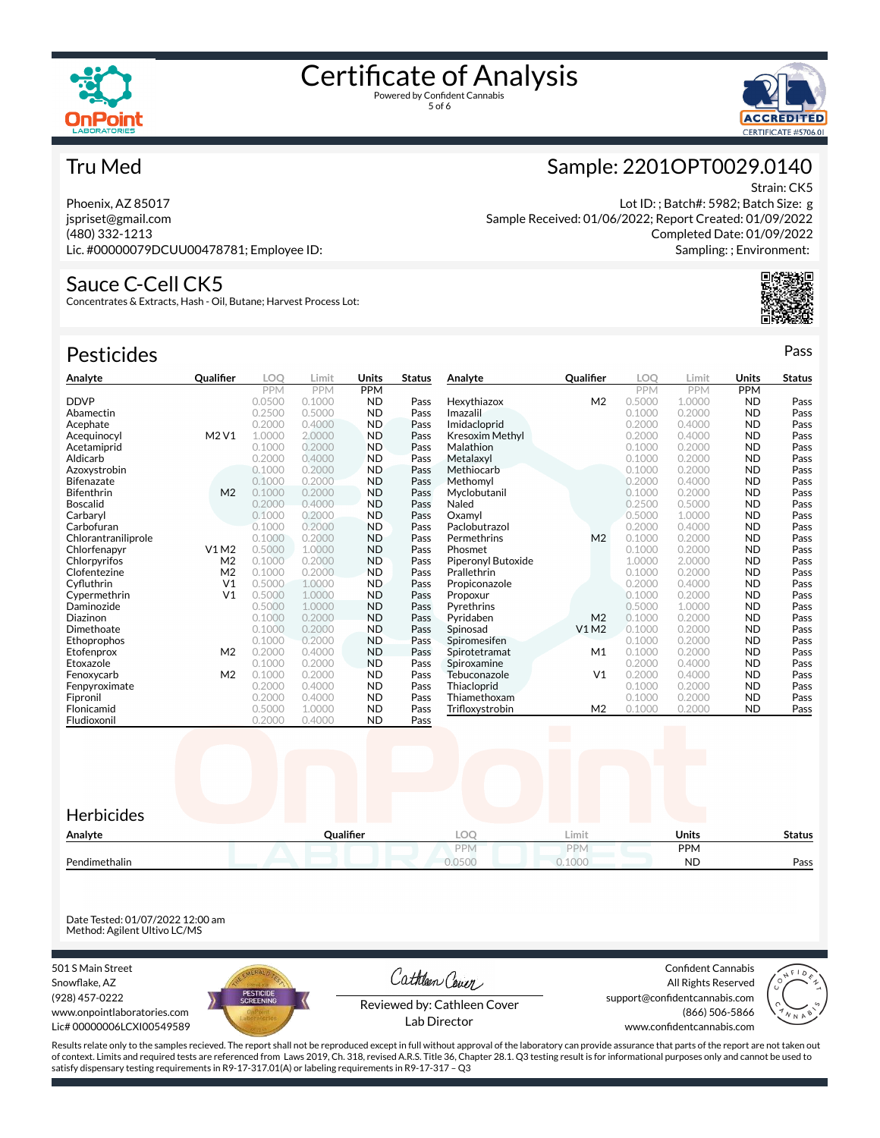



Strain: CK5

Sample: 2201OPT0029.0140

Sample Received: 01/06/2022; Report Created: 01/09/2022

Lot ID: ; Batch#: 5982; Batch Size: g

Completed Date: 01/09/2022 Sampling: ; Environment:

#### Tru Med

Phoenix, AZ 85017 jspriset@gmail.com (480) 332-1213 Lic. #00000079DCUU00478781; Employee ID:

#### Sauce C-Cell CK5

Concentrates & Extracts, Hash - Oil, Butane; Harvest Process Lot:

| <b>Pesticides</b>   |                |            |            |           |               |                        |                |            |            |           | Pass          |
|---------------------|----------------|------------|------------|-----------|---------------|------------------------|----------------|------------|------------|-----------|---------------|
| Analyte             | Qualifier      | <b>LOO</b> | Limit      | Units     | <b>Status</b> | Analyte                | Qualifier      | <b>LOO</b> | Limit      | Units     | <b>Status</b> |
|                     |                | <b>PPM</b> | <b>PPM</b> | PPM       |               |                        |                | <b>PPM</b> | <b>PPM</b> | PPM       |               |
| <b>DDVP</b>         |                | 0.0500     | 0.1000     | <b>ND</b> | Pass          | Hexythiazox            | M <sub>2</sub> | 0.5000     | 1.0000     | <b>ND</b> | Pass          |
| Abamectin           |                | 0.2500     | 0.5000     | <b>ND</b> | Pass          | Imazalil               |                | 0.1000     | 0.2000     | <b>ND</b> | Pass          |
| Acephate            |                | 0.2000     | 0.4000     | <b>ND</b> | Pass          | Imidacloprid           |                | 0.2000     | 0.4000     | <b>ND</b> | Pass          |
| Acequinocyl         | M2 V1          | 1.0000     | 2,0000     | <b>ND</b> | Pass          | <b>Kresoxim Methyl</b> |                | 0.2000     | 0.4000     | <b>ND</b> | Pass          |
| Acetamiprid         |                | 0.1000     | 0.2000     | <b>ND</b> | Pass          | Malathion              |                | 0.1000     | 0.2000     | <b>ND</b> | Pass          |
| Aldicarb            |                | 0.2000     | 0.4000     | <b>ND</b> | Pass          | Metalaxyl              |                | 0.1000     | 0.2000     | <b>ND</b> | Pass          |
| Azoxystrobin        |                | 0.1000     | 0.2000     | <b>ND</b> | Pass          | Methiocarb             |                | 0.1000     | 0.2000     | <b>ND</b> | Pass          |
| <b>Bifenazate</b>   |                | 0.1000     | 0.2000     | <b>ND</b> | Pass          | Methomvl               |                | 0.2000     | 0.4000     | <b>ND</b> | Pass          |
| Bifenthrin          | M <sub>2</sub> | 0.1000     | 0.2000     | <b>ND</b> | Pass          | Myclobutanil           |                | 0.1000     | 0.2000     | <b>ND</b> | Pass          |
| <b>Boscalid</b>     |                | 0.2000     | 0.4000     | <b>ND</b> | Pass          | Naled                  |                | 0.2500     | 0.5000     | <b>ND</b> | Pass          |
| Carbaryl            |                | 0.1000     | 0.2000     | <b>ND</b> | Pass          | Oxamvl                 |                | 0.5000     | 1.0000     | <b>ND</b> | Pass          |
| Carbofuran          |                | 0.1000     | 0.2000     | <b>ND</b> | Pass          | Paclobutrazol          |                | 0.2000     | 0.4000     | <b>ND</b> | Pass          |
| Chlorantraniliprole |                | 0.1000     | 0.2000     | <b>ND</b> | Pass          | Permethrins            | M <sub>2</sub> | 0.1000     | 0.2000     | <b>ND</b> | Pass          |
| Chlorfenapyr        | V1M2           | 0.5000     | 1.0000     | <b>ND</b> | Pass          | Phosmet                |                | 0.1000     | 0.2000     | <b>ND</b> | Pass          |
| Chlorpyrifos        | M <sub>2</sub> | 0.1000     | 0.2000     | <b>ND</b> | Pass          | Piperonyl Butoxide     |                | 1.0000     | 2.0000     | <b>ND</b> | Pass          |
| Clofentezine        | M <sub>2</sub> | 0.1000     | 0.2000     | <b>ND</b> | Pass          | Prallethrin            |                | 0.1000     | 0.2000     | <b>ND</b> | Pass          |
| Cyfluthrin          | V <sub>1</sub> | 0.5000     | 1.0000     | <b>ND</b> | Pass          | Propiconazole          |                | 0.2000     | 0.4000     | <b>ND</b> | Pass          |
| Cypermethrin        | V <sub>1</sub> | 0.5000     | 1.0000     | <b>ND</b> | Pass          | Propoxur               |                | 0.1000     | 0.2000     | <b>ND</b> | Pass          |
| Daminozide          |                | 0.5000     | 1.0000     | <b>ND</b> | Pass          | Pyrethrins             |                | 0.5000     | 1.0000     | <b>ND</b> | Pass          |
| Diazinon            |                | 0.1000     | 0.2000     | <b>ND</b> | Pass          | Pyridaben              | M <sub>2</sub> | 0.1000     | 0.2000     | <b>ND</b> | Pass          |
| Dimethoate          |                | 0.1000     | 0.2000     | <b>ND</b> | Pass          | Spinosad               | V1 M2          | 0.1000     | 0.2000     | <b>ND</b> | Pass          |
| Ethoprophos         |                | 0.1000     | 0.2000     | <b>ND</b> | Pass          | Spiromesifen           |                | 0.1000     | 0.2000     | <b>ND</b> | Pass          |
| Etofenprox          | M <sub>2</sub> | 0.2000     | 0.4000     | <b>ND</b> | Pass          | Spirotetramat          | M1             | 0.1000     | 0.2000     | <b>ND</b> | Pass          |
| Etoxazole           |                | 0.1000     | 0.2000     | <b>ND</b> | Pass          | Spiroxamine            |                | 0.2000     | 0.4000     | <b>ND</b> | Pass          |
| Fenoxycarb          | M <sub>2</sub> | 0.1000     | 0.2000     | <b>ND</b> | Pass          | Tebuconazole           | V <sub>1</sub> | 0.2000     | 0.4000     | <b>ND</b> | Pass          |
| Fenpyroximate       |                | 0.2000     | 0.4000     | <b>ND</b> | Pass          | Thiacloprid            |                | 0.1000     | 0.2000     | <b>ND</b> | Pass          |



Trifloxystrobin

Date Tested: 01/07/2022 12:00 am Method: Agilent Ultivo LC/MS

501 S Main Street Snowflake, AZ (928) 457-0222 www.onpointlaboratories.com Lic# 00000006LCXI00549589



**Fipronil 2000 C.4000 ND Pass** 

Cathleen Cover

Confident Cannabis All Rights Reserved support@confidentcannabis.com (866) 506-5866

Thiamethoxam 0.1000 0.2000 ND Pass



Reviewed by: Cathleen Cover Lab Director

www.confidentcannabis.com